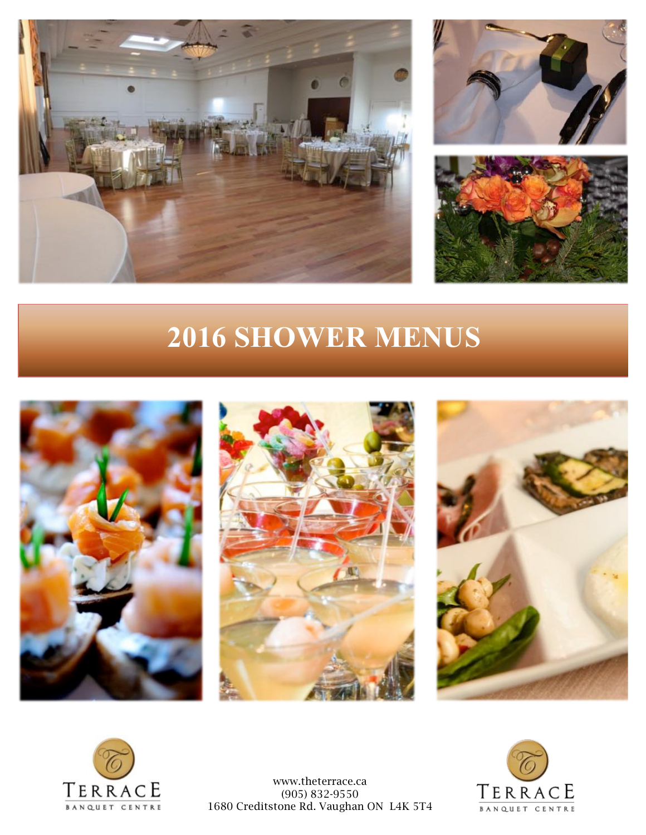





# **2016 SHOWER MENUS**









www.theterrace.ca (905) 832-9550 1680 Creditstone Rd. Vaughan ON L4K 5T4

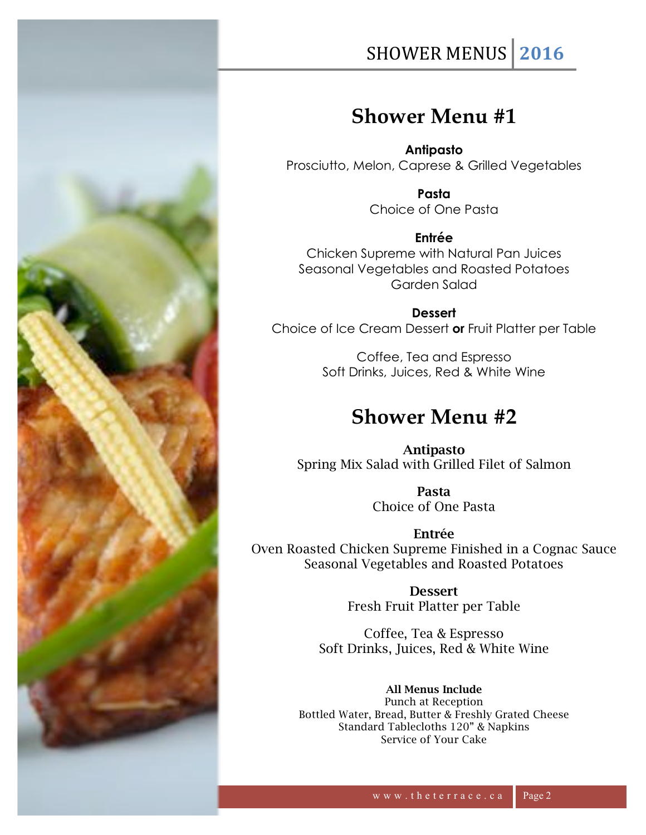

## **Shower Menu #1**

**Antipasto** Prosciutto, Melon, Caprese & Grilled Vegetables

> **Pasta** Choice of One Pasta

### **Entrée**

Chicken Supreme with Natural Pan Juices Seasonal Vegetables and Roasted Potatoes Garden Salad

**Dessert** Choice of Ice Cream Dessert **or** Fruit Platter per Table

> Coffee, Tea and Espresso Soft Drinks, Juices, Red & White Wine

### **Shower Menu #2**

Antipasto Spring Mix Salad with Grilled Filet of Salmon

> Pasta Choice of One Pasta

Entrée Oven Roasted Chicken Supreme Finished in a Cognac Sauce Seasonal Vegetables and Roasted Potatoes

> Dessert Fresh Fruit Platter per Table

Coffee, Tea & Espresso Soft Drinks, Juices, Red & White Wine

All Menus Include Punch at Reception Bottled Water, Bread, Butter & Freshly Grated Cheese Standard Tablecloths 120" & Napkins Service of Your Cake

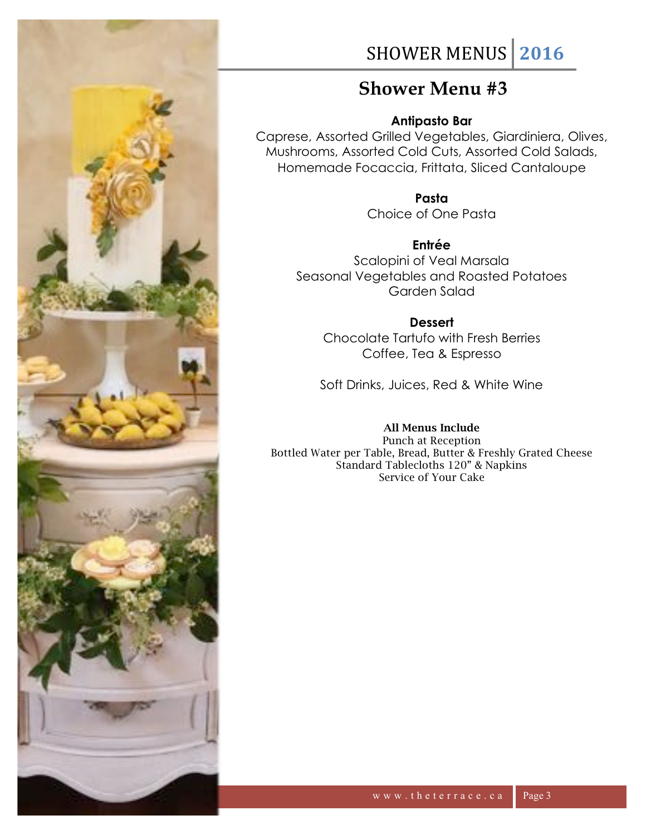

# SHOWER MENUS 2016

### **Shower Menu #3**

#### **Antipasto Bar**

Caprese, Assorted Grilled Vegetables, Giardiniera, Olives, Mushrooms, Assorted Cold Cuts, Assorted Cold Salads, Homemade Focaccia, Frittata, Sliced Cantaloupe

> **Pasta** Choice of One Pasta

**Entrée** Scalopini of Veal Marsala Seasonal Vegetables and Roasted Potatoes Garden Salad

#### **Dessert**

Chocolate Tartufo with Fresh Berries Coffee, Tea & Espresso

Soft Drinks, Juices, Red & White Wine

#### All Menus Include

Punch at Reception Bottled Water per Table, Bread, Butter & Freshly Grated Cheese Standard Tablecloths 120" & Napkins Service of Your Cake